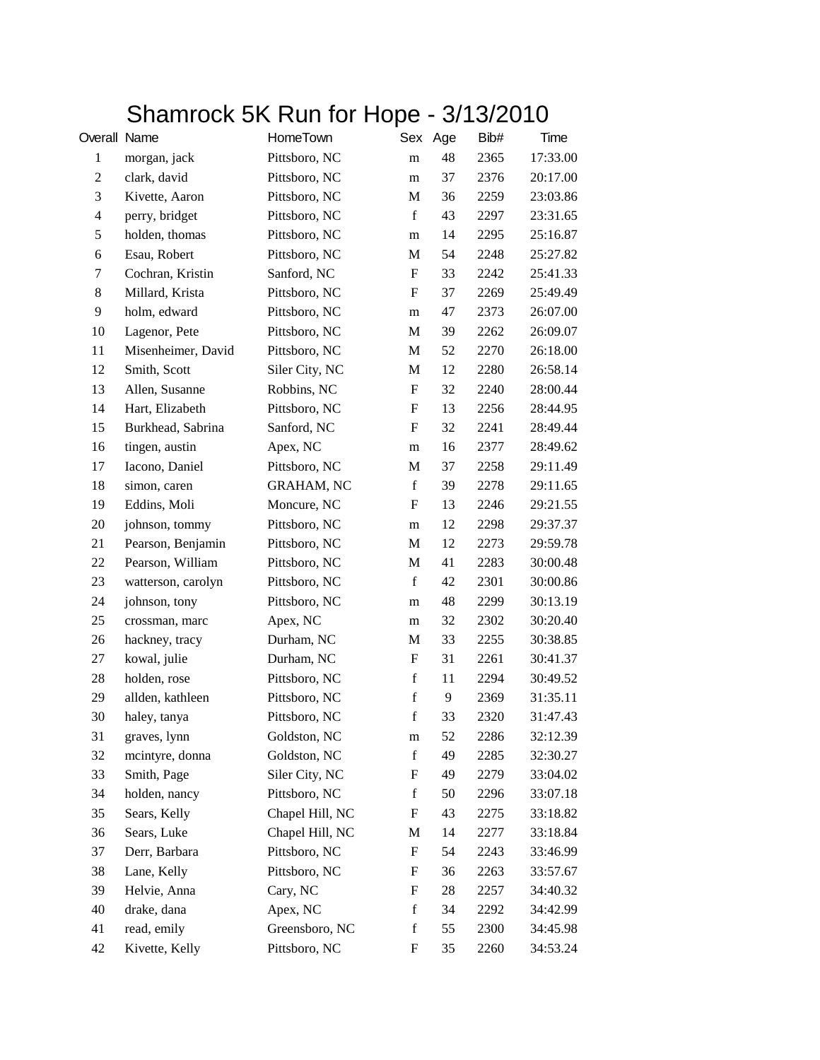## Shamrock 5K Run for Hope - 3/13/2010

| Overall Name   |                    | HomeTown          |             | Sex Age | Bib# | Time     |
|----------------|--------------------|-------------------|-------------|---------|------|----------|
| $\mathbf{1}$   | morgan, jack       | Pittsboro, NC     | m           | 48      | 2365 | 17:33.00 |
| $\overline{c}$ | clark, david       | Pittsboro, NC     | m           | 37      | 2376 | 20:17.00 |
| 3              | Kivette, Aaron     | Pittsboro, NC     | M           | 36      | 2259 | 23:03.86 |
| $\overline{4}$ | perry, bridget     | Pittsboro, NC     | $\mathbf f$ | 43      | 2297 | 23:31.65 |
| 5              | holden, thomas     | Pittsboro, NC     | m           | 14      | 2295 | 25:16.87 |
| 6              | Esau, Robert       | Pittsboro, NC     | M           | 54      | 2248 | 25:27.82 |
| 7              | Cochran, Kristin   | Sanford, NC       | F           | 33      | 2242 | 25:41.33 |
| $\,8\,$        | Millard, Krista    | Pittsboro, NC     | F           | 37      | 2269 | 25:49.49 |
| 9              | holm, edward       | Pittsboro, NC     | m           | 47      | 2373 | 26:07.00 |
| 10             | Lagenor, Pete      | Pittsboro, NC     | М           | 39      | 2262 | 26:09.07 |
| 11             | Misenheimer, David | Pittsboro, NC     | M           | 52      | 2270 | 26:18.00 |
| 12             | Smith, Scott       | Siler City, NC    | M           | 12      | 2280 | 26:58.14 |
| 13             | Allen, Susanne     | Robbins, NC       | F           | 32      | 2240 | 28:00.44 |
| 14             | Hart, Elizabeth    | Pittsboro, NC     | F           | 13      | 2256 | 28:44.95 |
| 15             | Burkhead, Sabrina  | Sanford, NC       | F           | 32      | 2241 | 28:49.44 |
| 16             | tingen, austin     | Apex, NC          | m           | 16      | 2377 | 28:49.62 |
| 17             | Iacono, Daniel     | Pittsboro, NC     | M           | 37      | 2258 | 29:11.49 |
| 18             | simon, caren       | <b>GRAHAM, NC</b> | $\mathbf f$ | 39      | 2278 | 29:11.65 |
| 19             | Eddins, Moli       | Moncure, NC       | F           | 13      | 2246 | 29:21.55 |
| 20             | johnson, tommy     | Pittsboro, NC     | m           | 12      | 2298 | 29:37.37 |
| 21             | Pearson, Benjamin  | Pittsboro, NC     | M           | 12      | 2273 | 29:59.78 |
| 22             | Pearson, William   | Pittsboro, NC     | M           | 41      | 2283 | 30:00.48 |
| 23             | watterson, carolyn | Pittsboro, NC     | $\mathbf f$ | 42      | 2301 | 30:00.86 |
| 24             | johnson, tony      | Pittsboro, NC     | m           | 48      | 2299 | 30:13.19 |
| 25             | crossman, marc     | Apex, NC          | m           | 32      | 2302 | 30:20.40 |
| 26             | hackney, tracy     | Durham, NC        | М           | 33      | 2255 | 30:38.85 |
| 27             | kowal, julie       | Durham, NC        | F           | 31      | 2261 | 30:41.37 |
| 28             | holden, rose       | Pittsboro, NC     | $\mathbf f$ | 11      | 2294 | 30:49.52 |
| 29             | allden, kathleen   | Pittsboro, NC     | $\mathbf f$ | 9       | 2369 | 31:35.11 |
| 30             | haley, tanya       | Pittsboro, NC     | $\mathbf f$ | 33      | 2320 | 31:47.43 |
| 31             | graves, lynn       | Goldston, NC      | m           | 52      | 2286 | 32:12.39 |
| 32             | mcintyre, donna    | Goldston, NC      | $\mathbf f$ | 49      | 2285 | 32:30.27 |
| 33             | Smith, Page        | Siler City, NC    | F           | 49      | 2279 | 33:04.02 |
| 34             | holden, nancy      | Pittsboro, NC     | $\mathbf f$ | 50      | 2296 | 33:07.18 |
| 35             | Sears, Kelly       | Chapel Hill, NC   | F           | 43      | 2275 | 33:18.82 |
| 36             | Sears, Luke        | Chapel Hill, NC   | M           | 14      | 2277 | 33:18.84 |
| 37             | Derr, Barbara      | Pittsboro, NC     | F           | 54      | 2243 | 33:46.99 |
| 38             | Lane, Kelly        | Pittsboro, NC     | F           | 36      | 2263 | 33:57.67 |
| 39             | Helvie, Anna       | Cary, NC          | F           | 28      | 2257 | 34:40.32 |
| 40             | drake, dana        | Apex, NC          | $\mathbf f$ | 34      | 2292 | 34:42.99 |
| 41             | read, emily        | Greensboro, NC    | $\mathbf f$ | 55      | 2300 | 34:45.98 |
| 42             | Kivette, Kelly     | Pittsboro, NC     | F           | 35      | 2260 | 34:53.24 |